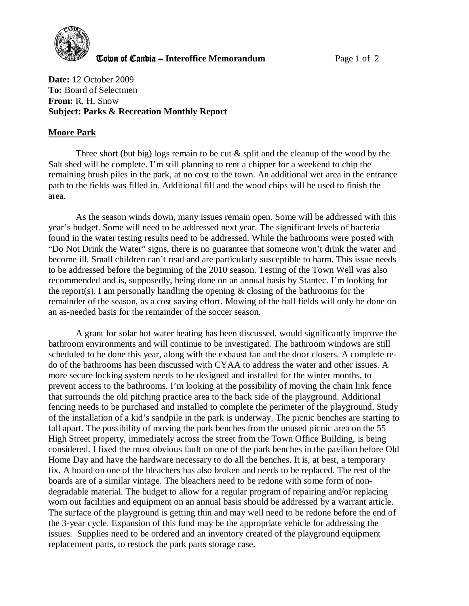

**The United Candia – Interoffice Memorandum** *Page 1 of 2* 

**Date:** 12 October 2009 **To:** Board of Selectmen **From:** R. H. Snow **Subject: Parks & Recreation Monthly Report** 

## **Moore Park**

Three short (but big) logs remain to be cut & split and the cleanup of the wood by the Salt shed will be complete. I'm still planning to rent a chipper for a weekend to chip the remaining brush piles in the park, at no cost to the town. An additional wet area in the entrance path to the fields was filled in. Additional fill and the wood chips will be used to finish the area.

As the season winds down, many issues remain open. Some will be addressed with this year's budget. Some will need to be addressed next year. The significant levels of bacteria found in the water testing results need to be addressed. While the bathrooms were posted with "Do Not Drink the Water" signs, there is no guarantee that someone won't drink the water and become ill. Small children can't read and are particularly susceptible to harm. This issue needs to be addressed before the beginning of the 2010 season. Testing of the Town Well was also recommended and is, supposedly, being done on an annual basis by Stantec. I'm looking for the report(s). I am personally handling the opening  $\&$  closing of the bathrooms for the remainder of the season, as a cost saving effort. Mowing of the ball fields will only be done on an as-needed basis for the remainder of the soccer season.

A grant for solar hot water heating has been discussed, would significantly improve the bathroom environments and will continue to be investigated. The bathroom windows are still scheduled to be done this year, along with the exhaust fan and the door closers. A complete redo of the bathrooms has been discussed with CYAA to address the water and other issues. A more secure locking system needs to be designed and installed for the winter months, to prevent access to the bathrooms. I'm looking at the possibility of moving the chain link fence that surrounds the old pitching practice area to the back side of the playground. Additional fencing needs to be purchased and installed to complete the perimeter of the playground. Study of the installation of a kid's sandpile in the park is underway. The picnic benches are starting to fall apart. The possibility of moving the park benches from the unused picnic area on the 55 High Street property, immediately across the street from the Town Office Building, is being considered. I fixed the most obvious fault on one of the park benches in the pavilion before Old Home Day and have the hardware necessary to do all the benches. It is, at best, a temporary fix. A board on one of the bleachers has also broken and needs to be replaced. The rest of the boards are of a similar vintage. The bleachers need to be redone with some form of nondegradable material. The budget to allow for a regular program of repairing and/or replacing worn out facilities and equipment on an annual basis should be addressed by a warrant article. The surface of the playground is getting thin and may well need to be redone before the end of the 3-year cycle. Expansion of this fund may be the appropriate vehicle for addressing the issues. Supplies need to be ordered and an inventory created of the playground equipment replacement parts, to restock the park parts storage case.